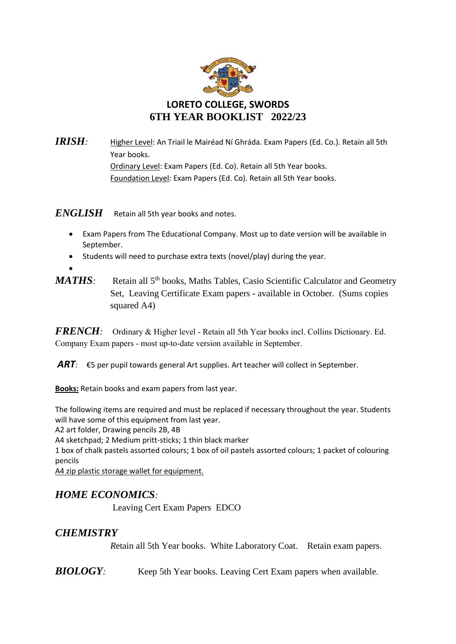

*IRISH:* Higher Level: An Triail le Mairéad Ní Ghráda. Exam Papers (Ed. Co.). Retain all 5th Year books.

Ordinary Level: Exam Papers (Ed. Co). Retain all 5th Year books. Foundation Level: Exam Papers (Ed. Co). Retain all 5th Year books.

## **ENGLISH** Retain all 5th year books and notes.

- Exam Papers from The Educational Company. Most up to date version will be available in September.
- Students will need to purchase extra texts (novel/play) during the year.
- *MATHS*: Retain all 5<sup>th</sup> books, Maths Tables, Casio Scientific Calculator and Geometry Set, Leaving Certificate Exam papers - available in October. (Sums copies squared A4)

*FRENCH:* Ordinary & Higher level - Retain all 5th Year books incl. Collins Dictionary. Ed. Company Exam papers - most up-to-date version available in September.

*ART:* €5 per pupil towards general Art supplies. Art teacher will collect in September.

**Books:** Retain books and exam papers from last year.

The following items are required and must be replaced if necessary throughout the year. Students will have some of this equipment from last year.

A2 art folder, Drawing pencils 2B, 4B

A4 sketchpad; 2 Medium pritt-sticks; 1 thin black marker

1 box of chalk pastels assorted colours; 1 box of oil pastels assorted colours; 1 packet of colouring pencils

A4 zip plastic storage wallet for equipment.

## *HOME ECONOMICS:*

Leaving Cert Exam Papers EDCO

## *CHEMISTRY*

 $\bullet$ 

*R*etain all 5th Year books. White Laboratory Coat. Retain exam papers.

**BIOLOGY**: Keep 5th Year books. Leaving Cert Exam papers when available.